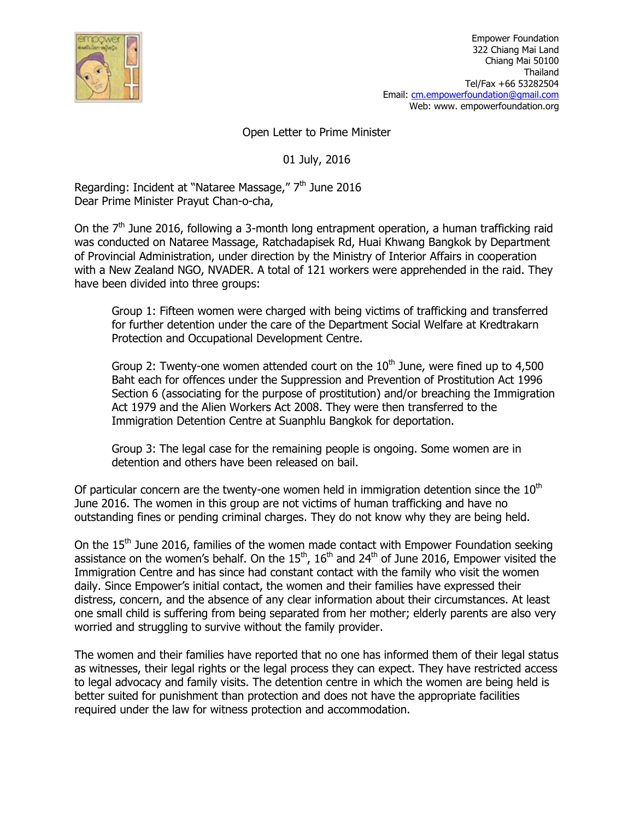

Open Letter to Prime Minister

01 July, 2016

Regarding: Incident at "Nataree Massage," 7<sup>th</sup> June 2016 Dear Prime Minister Prayut Chan-o-cha,

On the  $7<sup>th</sup>$  June 2016, following a 3-month long entrapment operation, a human trafficking raid was conducted on Nataree Massage, Ratchadapisek Rd, Huai Khwang Bangkok by Department of Provincial Administration, under direction by the Ministry of Interior Affairs in cooperation with a New Zealand NGO, NVADER. A total of 121 workers were apprehended in the raid. They have been divided into three groups:

Group 1: Fifteen women were charged with being victims of trafficking and transferred for further detention under the care of the Department Social Welfare at Kredtrakarn Protection and Occupational Development Centre.

Group 2: Twenty-one women attended court on the  $10<sup>th</sup>$  June, were fined up to 4,500 Baht each for offences under the Suppression and Prevention of Prostitution Act 1996 Section 6 (associating for the purpose of prostitution) and/or breaching the Immigration Act 1979 and the Alien Workers Act 2008. They were then transferred to the Immigration Detention Centre at Suanphlu Bangkok for deportation.

Group 3: The legal case for the remaining people is ongoing. Some women are in detention and others have been released on bail.

Of particular concern are the twenty-one women held in immigration detention since the  $10<sup>th</sup>$ June 2016. The women in this group are not victims of human trafficking and have no outstanding fines or pending criminal charges. They do not know why they are being held.

On the 15<sup>th</sup> June 2016, families of the women made contact with Empower Foundation seeking assistance on the women's behalf. On the  $15^{th}$ ,  $16^{th}$  and  $24^{th}$  of June 2016, Empower visited the Immigration Centre and has since had constant contact with the family who visit the women daily. Since Empower's initial contact, the women and their families have expressed their distress, concern, and the absence of any clear information about their circumstances. At least one small child is suffering from being separated from her mother; elderly parents are also very worried and struggling to survive without the family provider.

The women and their families have reported that no one has informed them of their legal status as witnesses, their legal rights or the legal process they can expect. They have restricted access to legal advocacy and family visits. The detention centre in which the women are being held is better suited for punishment than protection and does not have the appropriate facilities required under the law for witness protection and accommodation.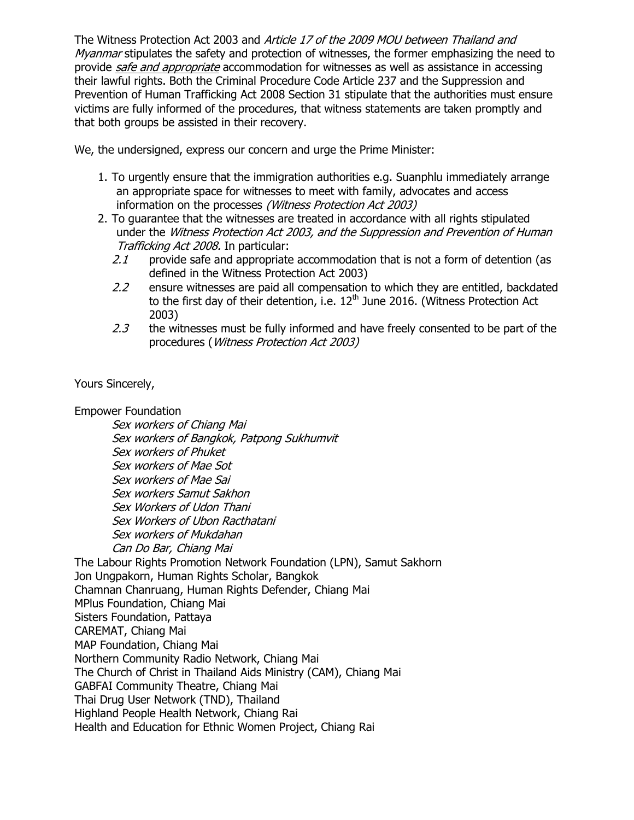The Witness Protection Act 2003 and Article 17 of the 2009 MOU between Thailand and Myanmar stipulates the safety and protection of witnesses, the former emphasizing the need to provide safe and appropriate accommodation for witnesses as well as assistance in accessing their lawful rights. Both the Criminal Procedure Code Article 237 and the Suppression and Prevention of Human Trafficking Act 2008 Section 31 stipulate that the authorities must ensure victims are fully informed of the procedures, that witness statements are taken promptly and that both groups be assisted in their recovery.

We, the undersigned, express our concern and urge the Prime Minister:

- 1. To urgently ensure that the immigration authorities e.g. Suanphlu immediately arrange an appropriate space for witnesses to meet with family, advocates and access information on the processes (Witness Protection Act 2003)
- 2. To guarantee that the witnesses are treated in accordance with all rights stipulated under the Witness Protection Act 2003, and the Suppression and Prevention of Human Trafficking Act 2008. In particular:
	- 2.1 provide safe and appropriate accommodation that is not a form of detention (as defined in the Witness Protection Act 2003)
	- $2.2$  ensure witnesses are paid all compensation to which they are entitled, backdated to the first day of their detention, i.e.  $12<sup>th</sup>$  June 2016. (Witness Protection Act 2003)
	- $2.3$  the witnesses must be fully informed and have freely consented to be part of the procedures (Witness Protection Act 2003)

Yours Sincerely,

Empower Foundation

 Sex workers of Chiang Mai Sex workers of Bangkok, Patpong Sukhumvit Sex workers of Phuket Sex workers of Mae Sot Sex workers of Mae Sai Sex workers Samut Sakhon Sex Workers of Udon Thani Sex Workers of Ubon Racthatani Sex workers of Mukdahan Can Do Bar, Chiang Mai The Labour Rights Promotion Network Foundation (LPN), Samut Sakhorn Jon Ungpakorn, Human Rights Scholar, Bangkok Chamnan Chanruang, Human Rights Defender, Chiang Mai MPlus Foundation, Chiang Mai Sisters Foundation, Pattaya CAREMAT, Chiang Mai MAP Foundation, Chiang Mai Northern Community Radio Network, Chiang Mai The Church of Christ in Thailand Aids Ministry (CAM), Chiang Mai GABFAI Community Theatre, Chiang Mai Thai Drug User Network (TND), Thailand Highland People Health Network, Chiang Rai Health and Education for Ethnic Women Project, Chiang Rai